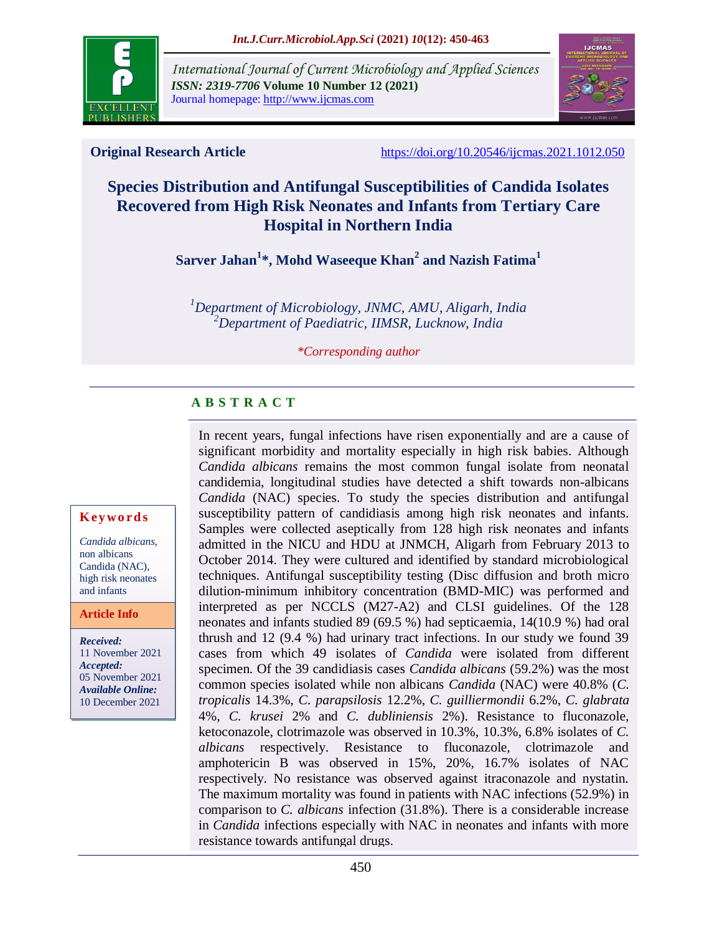

*International Journal of Current Microbiology and Applied Sciences ISSN: 2319-7706* **Volume 10 Number 12 (2021)**  Journal homepage: http://www.ijcmas.com



**Original Research Article** <https://doi.org/10.20546/ijcmas.2021.1012.050>

# **Species Distribution and Antifungal Susceptibilities of Candida Isolates Recovered from High Risk Neonates and Infants from Tertiary Care Hospital in Northern India**

**Sarver Jahan<sup>1</sup> \*, Mohd Waseeque Khan<sup>2</sup> and Nazish Fatima<sup>1</sup>**

*<sup>1</sup>Department of Microbiology, JNMC, AMU, Aligarh, India <sup>2</sup>Department of Paediatric, IIMSR, Lucknow, India*

*\*Corresponding author*

# **A B S T R A C T**

In recent years, fungal infections have risen exponentially and are a cause of significant morbidity and mortality especially in high risk babies. Although *Candida albicans* remains the most common fungal isolate from neonatal candidemia, longitudinal studies have detected a shift towards non-albicans *Candida* (NAC) species. To study the species distribution and antifungal susceptibility pattern of candidiasis among high risk neonates and infants. Samples were collected aseptically from 128 high risk neonates and infants admitted in the NICU and HDU at JNMCH, Aligarh from February 2013 to October 2014. They were cultured and identified by standard microbiological techniques. Antifungal susceptibility testing (Disc diffusion and broth micro dilution-minimum inhibitory concentration (BMD-MIC) was performed and interpreted as per NCCLS (M27-A2) and CLSI guidelines. Of the 128 neonates and infants studied 89 (69.5 %) had septicaemia, 14(10.9 %) had oral thrush and 12 (9.4 %) had urinary tract infections. In our study we found 39 cases from which 49 isolates of *Candida* were isolated from different specimen. Of the 39 candidiasis cases *Candida albicans* (59.2%) was the most common species isolated while non albicans *Candida* (NAC) were 40.8% (*C. tropicalis* 14.3%, *C. parapsilosis* 12.2%, *C. guilliermondii* 6.2%, *C. glabrata*  4%, *C. krusei* 2% and *C. dubliniensis* 2%). Resistance to fluconazole, ketoconazole, clotrimazole was observed in 10.3%, 10.3%, 6.8% isolates of *C. albicans* respectively. Resistance to fluconazole, clotrimazole and amphotericin B was observed in 15%, 20%, 16.7% isolates of NAC respectively. No resistance was observed against itraconazole and nystatin. The maximum mortality was found in patients with NAC infections (52.9%) in comparison to *C. albicans* infection (31.8%). There is a considerable increase in *Candida* infections especially with NAC in neonates and infants with more resistance towards antifungal drugs.

#### **K ey w o rd s**

*Candida albicans*, non albicans Candida (NAC), high risk neonates and infants

#### **Article Info**

*Received:* 11 November 2021 *Accepted:* 05 November 2021 *Available Online:* 10 December 2021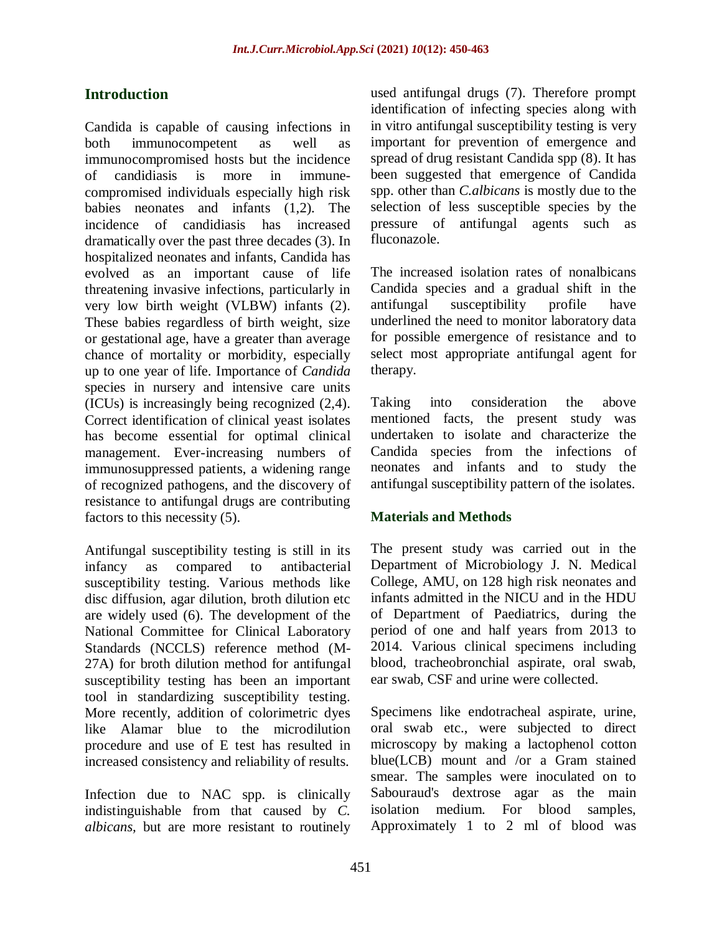# **Introduction**

Candida is capable of causing infections in both immunocompetent as well as immunocompromised hosts but the incidence of candidiasis is more in immunecompromised individuals especially high risk babies neonates and infants (1,2). The incidence of candidiasis has increased dramatically over the past three decades (3). In hospitalized neonates and infants, Candida has evolved as an important cause of life threatening invasive infections, particularly in very low birth weight (VLBW) infants (2). These babies regardless of birth weight, size or gestational age, have a greater than average chance of mortality or morbidity, especially up to one year of life. Importance of *Candida* species in nursery and intensive care units (ICUs) is increasingly being recognized (2,4). Correct identification of clinical yeast isolates has become essential for optimal clinical management. Ever-increasing numbers of immunosuppressed patients, a widening range of recognized pathogens, and the discovery of resistance to antifungal drugs are contributing factors to this necessity (5).

Antifungal susceptibility testing is still in its infancy as compared to antibacterial susceptibility testing. Various methods like disc diffusion, agar dilution, broth dilution etc are widely used (6). The development of the National Committee for Clinical Laboratory Standards (NCCLS) reference method (M-27A) for broth dilution method for antifungal susceptibility testing has been an important tool in standardizing susceptibility testing. More recently, addition of colorimetric dyes like Alamar blue to the microdilution procedure and use of E test has resulted in increased consistency and reliability of results.

Infection due to NAC spp. is clinically indistinguishable from that caused by *C. albicans,* but are more resistant to routinely

used antifungal drugs (7). Therefore prompt identification of infecting species along with in vitro antifungal susceptibility testing is very important for prevention of emergence and spread of drug resistant Candida spp (8). It has been suggested that emergence of Candida spp. other than *C.albicans* is mostly due to the selection of less susceptible species by the pressure of antifungal agents such as fluconazole.

The increased isolation rates of nonalbicans Candida species and a gradual shift in the antifungal susceptibility profile have underlined the need to monitor laboratory data for possible emergence of resistance and to select most appropriate antifungal agent for therapy.

Taking into consideration the above mentioned facts, the present study was undertaken to isolate and characterize the Candida species from the infections of neonates and infants and to study the antifungal susceptibility pattern of the isolates.

#### **Materials and Methods**

The present study was carried out in the Department of Microbiology J. N. Medical College, AMU, on 128 high risk neonates and infants admitted in the NICU and in the HDU of Department of Paediatrics, during the period of one and half years from 2013 to 2014. Various clinical specimens including blood, tracheobronchial aspirate, oral swab, ear swab, CSF and urine were collected.

Specimens like endotracheal aspirate, urine, oral swab etc., were subjected to direct microscopy by making a lactophenol cotton blue(LCB) mount and /or a Gram stained smear. The samples were inoculated on to Sabouraud's dextrose agar as the main isolation medium. For blood samples, Approximately 1 to 2 ml of blood was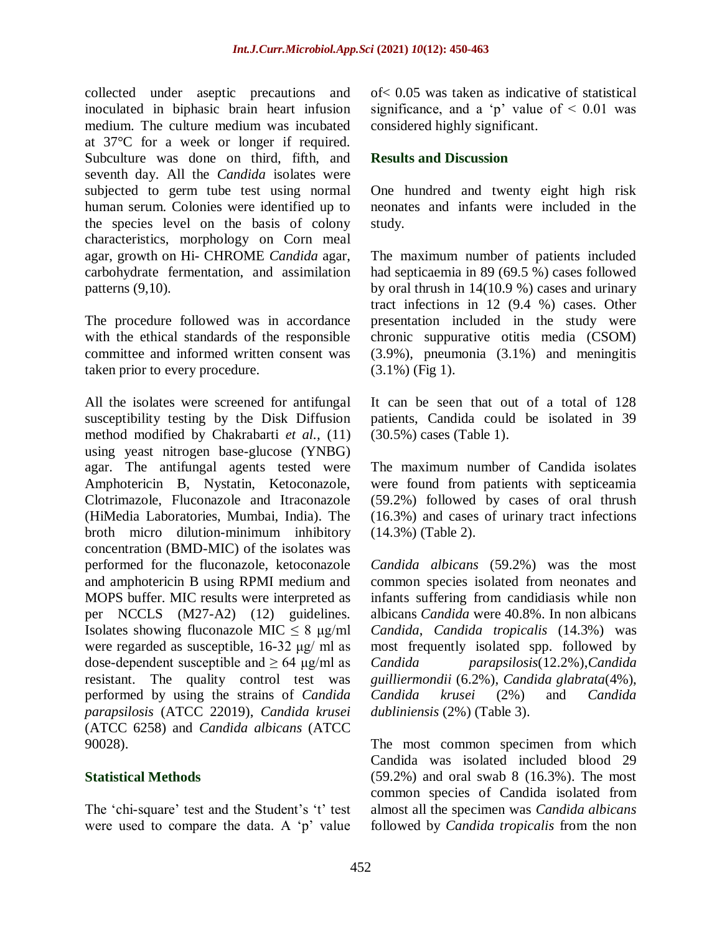collected under aseptic precautions and inoculated in biphasic brain heart infusion medium. The culture medium was incubated at 37°C for a week or longer if required. Subculture was done on third, fifth, and seventh day. All the *Candida* isolates were subjected to germ tube test using normal human serum. Colonies were identified up to the species level on the basis of colony characteristics, morphology on Corn meal agar, growth on Hi- CHROME *Candida* agar, carbohydrate fermentation, and assimilation patterns (9,10).

The procedure followed was in accordance with the ethical standards of the responsible committee and informed written consent was taken prior to every procedure.

All the isolates were screened for antifungal susceptibility testing by the Disk Diffusion method modified by Chakrabarti *et al.,* (11) using yeast nitrogen base-glucose (YNBG) agar. The antifungal agents tested were Amphotericin B, Nystatin, Ketoconazole, Clotrimazole, Fluconazole and Itraconazole (HiMedia Laboratories, Mumbai, India). The broth micro dilution-minimum inhibitory concentration (BMD-MIC) of the isolates was performed for the fluconazole, ketoconazole and amphotericin B using RPMI medium and MOPS buffer. MIC results were interpreted as per NCCLS (M27-A2) (12) guidelines. Isolates showing fluconazole MIC  $\leq 8$  µg/ml were regarded as susceptible, 16-32 μg/ ml as dose-dependent susceptible and  $> 64$  μg/ml as resistant. The quality control test was performed by using the strains of *Candida parapsilosis* (ATCC 22019), *Candida krusei* (ATCC 6258) and *Candida albicans* (ATCC 90028).

#### **Statistical Methods**

The 'chi-square' test and the Student's 't' test were used to compare the data. A 'p' value

of< 0.05 was taken as indicative of statistical significance, and a 'p' value of  $\leq 0.01$  was considered highly significant.

#### **Results and Discussion**

One hundred and twenty eight high risk neonates and infants were included in the study.

The maximum number of patients included had septicaemia in 89 (69.5 %) cases followed by oral thrush in 14(10.9 %) cases and urinary tract infections in 12 (9.4 %) cases. Other presentation included in the study were chronic suppurative otitis media (CSOM) (3.9%), pneumonia (3.1%) and meningitis (3.1%) (Fig 1).

It can be seen that out of a total of 128 patients, Candida could be isolated in 39 (30.5%) cases (Table 1).

The maximum number of Candida isolates were found from patients with septiceamia (59.2%) followed by cases of oral thrush (16.3%) and cases of urinary tract infections (14.3%) (Table 2).

*Candida albicans* (59.2%) was the most common species isolated from neonates and infants suffering from candidiasis while non albicans *Candida* were 40.8%. In non albicans *Candida*, *Candida tropicalis* (14.3%) was most frequently isolated spp. followed by *Candida parapsilosis*(12.2%),*Candida guilliermondii* (6.2%), *Candida glabrata*(4%), *Candida krusei* (2%) and *Candida dubliniensis* (2%) (Table 3).

The most common specimen from which Candida was isolated included blood 29 (59.2%) and oral swab 8 (16.3%). The most common species of Candida isolated from almost all the specimen was *Candida albicans*  followed by *Candida tropicalis* from the non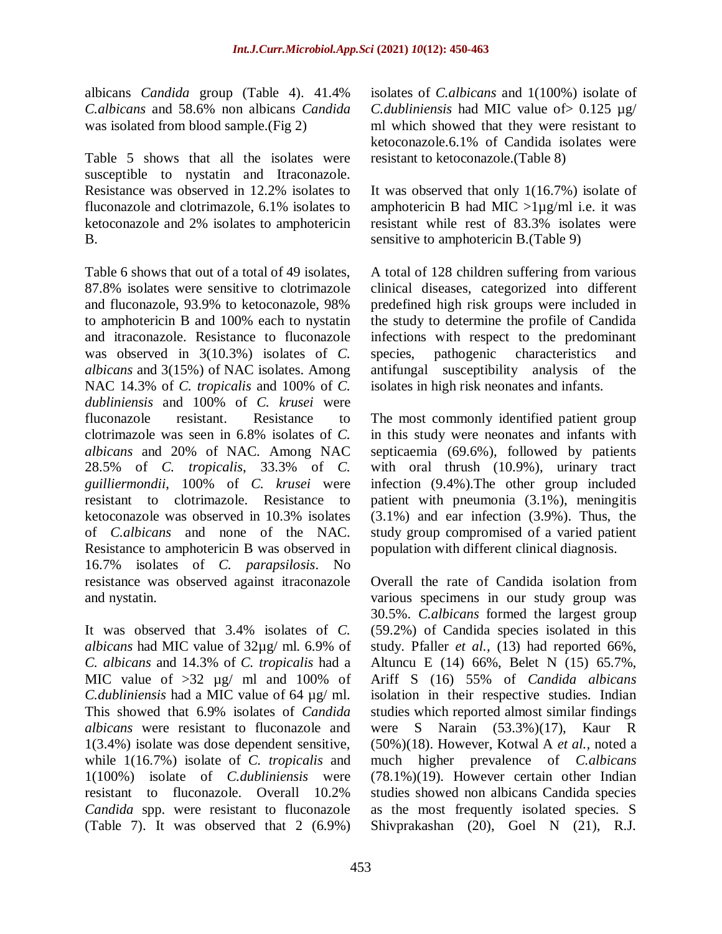albicans *Candida* group (Table 4). 41.4% *C.albicans* and 58.6% non albicans *Candida*  was isolated from blood sample.(Fig 2)

Table 5 shows that all the isolates were susceptible to nystatin and Itraconazole. Resistance was observed in 12.2% isolates to fluconazole and clotrimazole, 6.1% isolates to ketoconazole and 2% isolates to amphotericin B.

Table 6 shows that out of a total of 49 isolates, 87.8% isolates were sensitive to clotrimazole and fluconazole, 93.9% to ketoconazole, 98% to amphotericin B and 100% each to nystatin and itraconazole. Resistance to fluconazole was observed in 3(10.3%) isolates of *C. albicans* and 3(15%) of NAC isolates. Among NAC 14.3% of *C. tropicalis* and 100% of *C. dubliniensis* and 100% of *C. krusei* were fluconazole resistant. Resistance to clotrimazole was seen in 6.8% isolates of *C. albicans* and 20% of NAC. Among NAC 28.5% of *C. tropicalis*, 33.3% of *C. guilliermondii*, 100% of *C. krusei* were resistant to clotrimazole. Resistance to ketoconazole was observed in 10.3% isolates of *C.albicans* and none of the NAC. Resistance to amphotericin B was observed in 16.7% isolates of *C. parapsilosis*. No resistance was observed against itraconazole and nystatin.

It was observed that 3.4% isolates of *C. albicans* had MIC value of 32µg/ ml. 6.9% of *C. albicans* and 14.3% of *C. tropicalis* had a MIC value of  $>32$   $\mu$ g/ ml and 100% of *C.dubliniensis* had a MIC value of 64 µg/ ml. This showed that 6.9% isolates of *Candida albicans* were resistant to fluconazole and 1(3.4%) isolate was dose dependent sensitive, while 1(16.7%) isolate of *C. tropicalis* and 1(100%) isolate of *C.dubliniensis* were resistant to fluconazole. Overall 10.2% *Candida* spp. were resistant to fluconazole (Table 7). It was observed that 2 (6.9%)

isolates of *C.albicans* and 1(100%) isolate of *C.dubliniensis* had MIC value of  $> 0.125 \text{ µg}$ ml which showed that they were resistant to ketoconazole.6.1% of Candida isolates were resistant to ketoconazole.(Table 8)

It was observed that only 1(16.7%) isolate of amphotericin B had MIC  $>1\mu g/ml$  i.e. it was resistant while rest of 83.3% isolates were sensitive to amphotericin B.(Table 9)

A total of 128 children suffering from various clinical diseases, categorized into different predefined high risk groups were included in the study to determine the profile of Candida infections with respect to the predominant species, pathogenic characteristics and antifungal susceptibility analysis of the isolates in high risk neonates and infants.

The most commonly identified patient group in this study were neonates and infants with septicaemia (69.6%), followed by patients with oral thrush (10.9%), urinary tract infection (9.4%).The other group included patient with pneumonia (3.1%), meningitis (3.1%) and ear infection (3.9%). Thus, the study group compromised of a varied patient population with different clinical diagnosis.

Overall the rate of Candida isolation from various specimens in our study group was 30.5%. *C.albicans* formed the largest group (59.2%) of Candida species isolated in this study. Pfaller *et al.,* (13) had reported 66%, Altuncu E (14) 66%, Belet N (15) 65.7%, Ariff S (16) 55% of *Candida albicans* isolation in their respective studies. Indian studies which reported almost similar findings were S Narain (53.3%)(17), Kaur R (50%)(18). However, Kotwal A *et al.,* noted a much higher prevalence of *C.albicans* (78.1%)(19). However certain other Indian studies showed non albicans Candida species as the most frequently isolated species. S Shivprakashan (20), Goel N (21), R.J.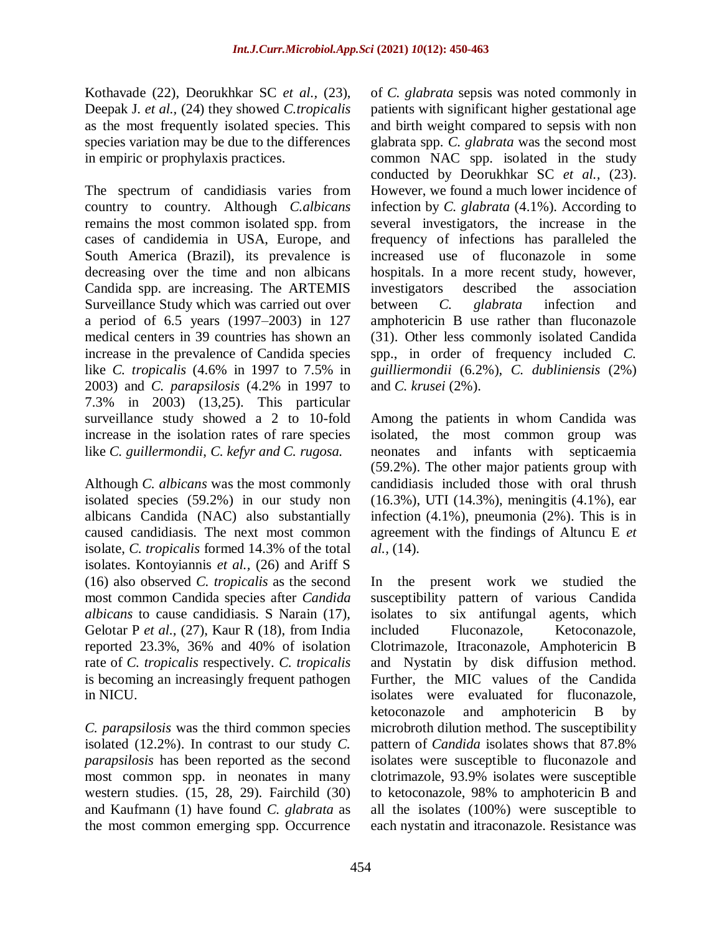Kothavade (22), Deorukhkar SC *et al.,* (23), Deepak J. *et al.,* (24) they showed *C.tropicalis* as the most frequently isolated species. This species variation may be due to the differences in empiric or prophylaxis practices.

The spectrum of candidiasis varies from country to country. Although *C.albicans*  remains the most common isolated spp. from cases of candidemia in USA, Europe, and South America (Brazil), its prevalence is decreasing over the time and non albicans Candida spp. are increasing. The ARTEMIS Surveillance Study which was carried out over a period of 6.5 years (1997–2003) in 127 medical centers in 39 countries has shown an increase in the prevalence of Candida species like *C. tropicalis* (4.6% in 1997 to 7.5% in 2003) and *C. parapsilosis* (4.2% in 1997 to 7.3% in 2003) (13,25). This particular surveillance study showed a 2 to 10-fold increase in the isolation rates of rare species like *C. guillermondii*, *C. kefyr and C. rugosa.*

Although *C. albicans* was the most commonly isolated species (59.2%) in our study non albicans Candida (NAC) also substantially caused candidiasis. The next most common isolate, *C. tropicalis* formed 14.3% of the total isolates. Kontoyiannis *et al.,* (26) and Ariff S (16) also observed *C. tropicalis* as the second most common Candida species after *Candida albicans* to cause candidiasis. S Narain (17), Gelotar P *et al.,* (27), Kaur R (18), from India reported 23.3%, 36% and 40% of isolation rate of *C. tropicalis* respectively. *C. tropicalis* is becoming an increasingly frequent pathogen in NICU.

*C. parapsilosis* was the third common species isolated (12.2%). In contrast to our study *C. parapsilosis* has been reported as the second most common spp. in neonates in many western studies. (15, 28, 29). Fairchild (30) and Kaufmann (1) have found *C. glabrata* as the most common emerging spp. Occurrence

of *C. glabrata* sepsis was noted commonly in patients with significant higher gestational age and birth weight compared to sepsis with non glabrata spp. *C. glabrata* was the second most common NAC spp. isolated in the study conducted by Deorukhkar SC *et al.*, (23). However, we found a much lower incidence of infection by *C. glabrata* (4.1%). According to several investigators, the increase in the frequency of infections has paralleled the increased use of fluconazole in some hospitals. In a more recent study, however, investigators described the association between *C. glabrata* infection and amphotericin B use rather than fluconazole (31). Other less commonly isolated Candida spp., in order of frequency included *C. guilliermondii* (6.2%), *C. dubliniensis* (2%) and *C. krusei* (2%).

Among the patients in whom Candida was isolated, the most common group was neonates and infants with septicaemia (59.2%). The other major patients group with candidiasis included those with oral thrush (16.3%), UTI (14.3%), meningitis (4.1%), ear infection (4.1%), pneumonia (2%). This is in agreement with the findings of Altuncu E *et al.,* (14).

In the present work we studied the susceptibility pattern of various Candida isolates to six antifungal agents, which included Fluconazole, Ketoconazole, Clotrimazole, Itraconazole, Amphotericin B and Nystatin by disk diffusion method. Further, the MIC values of the Candida isolates were evaluated for fluconazole, ketoconazole and amphotericin B by microbroth dilution method. The susceptibility pattern of *Candida* isolates shows that 87.8% isolates were susceptible to fluconazole and clotrimazole, 93.9% isolates were susceptible to ketoconazole, 98% to amphotericin B and all the isolates (100%) were susceptible to each nystatin and itraconazole. Resistance was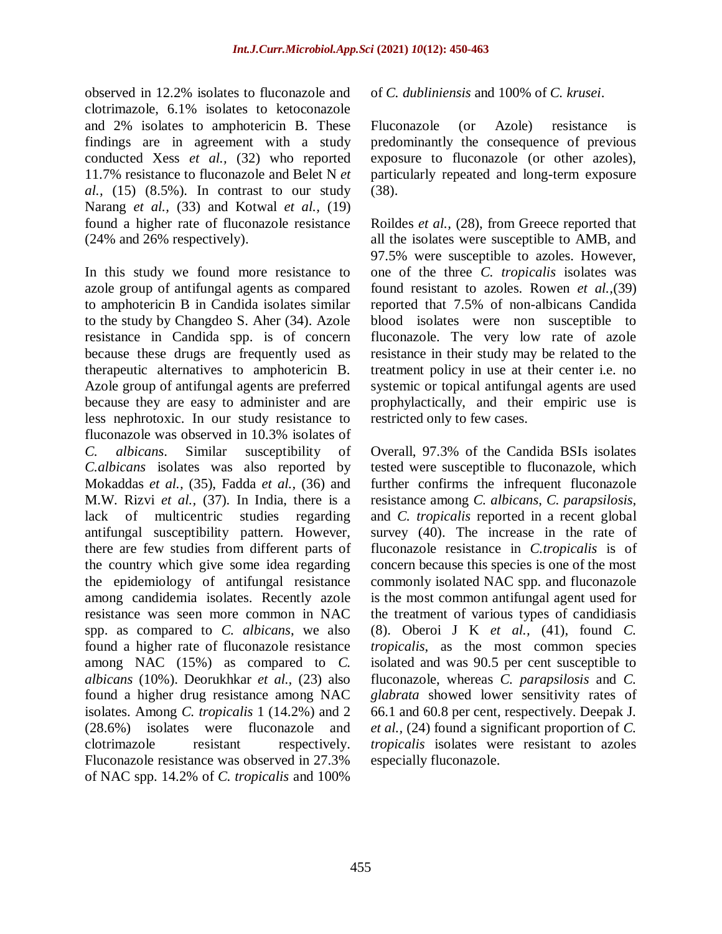observed in 12.2% isolates to fluconazole and clotrimazole, 6.1% isolates to ketoconazole and 2% isolates to amphotericin B. These findings are in agreement with a study conducted Xess *et al.,* (32) who reported 11.7% resistance to fluconazole and Belet N *et al.,* (15) (8.5%). In contrast to our study Narang *et al.,* (33) and Kotwal *et al.,* (19) found a higher rate of fluconazole resistance (24% and 26% respectively).

In this study we found more resistance to azole group of antifungal agents as compared to amphotericin B in Candida isolates similar to the study by Changdeo S. Aher (34). Azole resistance in Candida spp. is of concern because these drugs are frequently used as therapeutic alternatives to amphotericin B. Azole group of antifungal agents are preferred because they are easy to administer and are less nephrotoxic. In our study resistance to fluconazole was observed in 10.3% isolates of *C. albicans*. Similar susceptibility of *C.albicans* isolates was also reported by Mokaddas *et al.,* (35), Fadda *et al.,* (36) and M.W. Rizvi *et al.,* (37). In India, there is a lack of multicentric studies regarding antifungal susceptibility pattern. However, there are few studies from different parts of the country which give some idea regarding the epidemiology of antifungal resistance among candidemia isolates. Recently azole resistance was seen more common in NAC spp. as compared to *C. albicans*, we also found a higher rate of fluconazole resistance among NAC (15%) as compared to *C. albicans* (10%). Deorukhkar *et al.,* (23) also found a higher drug resistance among NAC isolates. Among *C. tropicalis* 1 (14.2%) and 2 (28.6%) isolates were fluconazole and clotrimazole resistant respectively. Fluconazole resistance was observed in 27.3% of NAC spp. 14.2% of *C. tropicalis* and 100%

#### of *C. dubliniensis* and 100% of *C. krusei*.

Fluconazole (or Azole) resistance is predominantly the consequence of previous exposure to fluconazole (or other azoles), particularly repeated and long-term exposure (38).

Roildes *et al.,* (28), from Greece reported that all the isolates were susceptible to AMB, and 97.5% were susceptible to azoles. However, one of the three *C. tropicalis* isolates was found resistant to azoles. Rowen *et al.,*(39) reported that 7.5% of non-albicans Candida blood isolates were non susceptible to fluconazole. The very low rate of azole resistance in their study may be related to the treatment policy in use at their center i.e. no systemic or topical antifungal agents are used prophylactically, and their empiric use is restricted only to few cases.

Overall, 97.3% of the Candida BSIs isolates tested were susceptible to fluconazole, which further confirms the infrequent fluconazole resistance among *C. albicans*, *C. parapsilosis*, and *C. tropicalis* reported in a recent global survey (40). The increase in the rate of fluconazole resistance in *C.tropicalis* is of concern because this species is one of the most commonly isolated NAC spp. and fluconazole is the most common antifungal agent used for the treatment of various types of candidiasis (8). Oberoi J K *et al.,* (41), found *C. tropicalis*, as the most common species isolated and was 90.5 per cent susceptible to fluconazole, whereas *C. parapsilosis* and *C. glabrata* showed lower sensitivity rates of 66.1 and 60.8 per cent, respectively. Deepak J. *et al.,* (24) found a significant proportion of *C. tropicalis* isolates were resistant to azoles especially fluconazole.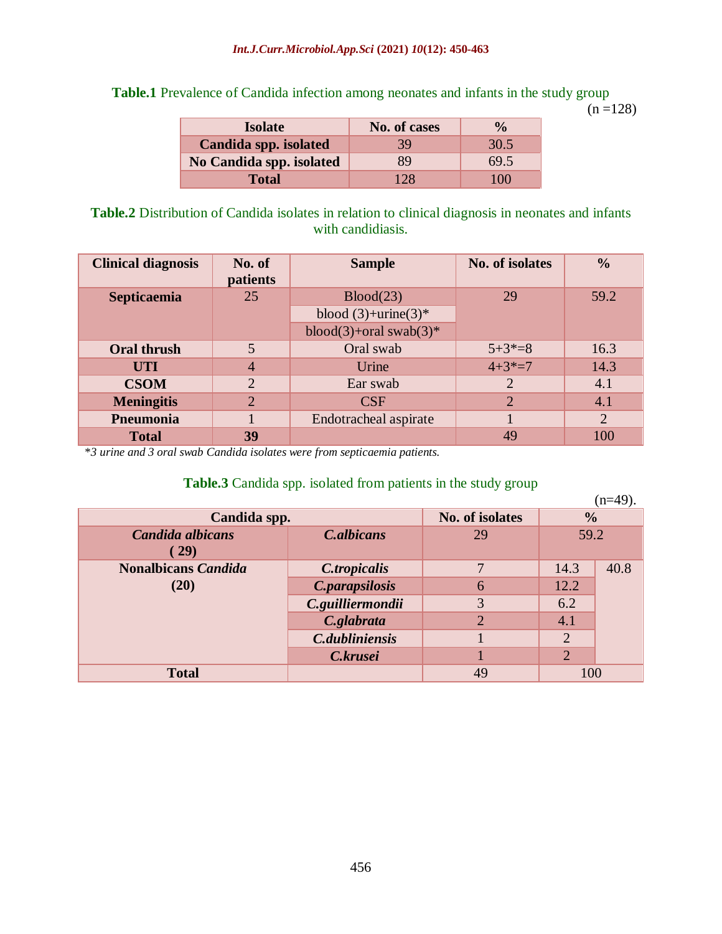**Table.1** Prevalence of Candida infection among neonates and infants in the study group

 $(n = 128)$ 

| <b>Isolate</b>           | No. of cases | $\frac{0}{0}$ |
|--------------------------|--------------|---------------|
| Candida spp. isolated    | 39           | 30.5          |
| No Candida spp. isolated | 89           | 69.5          |
| <b>Total</b>             | 128          | 100           |

**Table.2** Distribution of Candida isolates in relation to clinical diagnosis in neonates and infants with candidiasis.

| <b>Clinical diagnosis</b> | No. of<br>patients | <b>Sample</b>              | No. of isolates | $\frac{0}{0}$ |
|---------------------------|--------------------|----------------------------|-----------------|---------------|
| <b>Septicaemia</b>        | 25                 | Blood(23)                  | 29              | 59.2          |
|                           |                    | blood $(3)$ +urine $(3)$ * |                 |               |
|                           |                    | blood(3)+oral swab(3)*     |                 |               |
| <b>Oral thrush</b>        | 5                  | Oral swab                  | $5+3*=8$        | 16.3          |
| <b>UTI</b>                | $\overline{4}$     | Urine                      | $4+3*=7$        | 14.3          |
| <b>CSOM</b>               | $\overline{2}$     | Ear swab                   | 2               | 4.1           |
| <b>Meningitis</b>         | $\overline{2}$     | CSF                        | $\overline{2}$  | 4.1           |
| Pneumonia                 |                    | Endotracheal aspirate      |                 | 2             |
| <b>Total</b>              | 39                 |                            | 49              | 100           |

\**3 urine and 3 oral swab Candida isolates were from septicaemia patients.*

## **Table.3** Candida spp. isolated from patients in the study group

|                            |                   |                |                | $(n=49)$ . |
|----------------------------|-------------------|----------------|----------------|------------|
| Candida spp.               | No. of isolates   | $\frac{0}{0}$  |                |            |
| Candida albicans           | <b>C.albicans</b> | 29             | 59.2           |            |
| $\left( 29\right)$         |                   |                |                |            |
| <b>Nonalbicans Candida</b> | C.tropicalis      |                | 14.3           | 40.8       |
| (20)                       | C.parapsilosis    | 6              | 12.2           |            |
|                            | C.guilliermondii  | 3              | 6.2            |            |
|                            | C.glabrata        | $\overline{2}$ | 4.1            |            |
|                            | C.dubliniensis    |                | $\overline{2}$ |            |
|                            | C.krusei          |                | $\overline{2}$ |            |
| <b>Total</b>               |                   | 49             | 100            |            |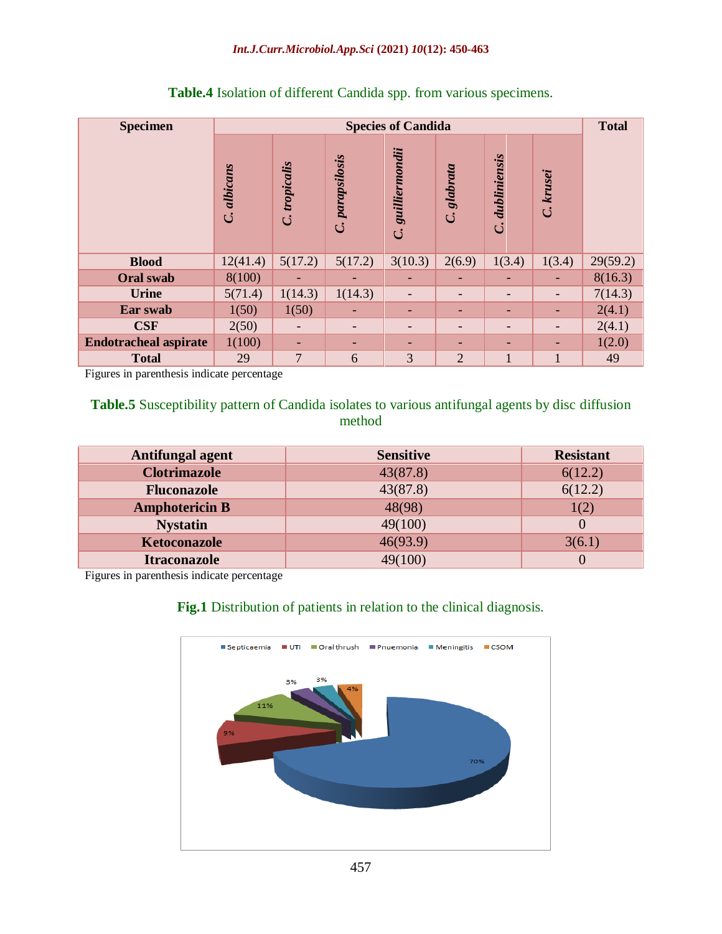| <b>Specimen</b>              |             |                                   |                              | <b>Species of Candida</b>             |                          |                               |           | <b>Total</b> |
|------------------------------|-------------|-----------------------------------|------------------------------|---------------------------------------|--------------------------|-------------------------------|-----------|--------------|
|                              | C. albicans | tropicalis<br>$\ddot{\mathbf{C}}$ | C. parapsilosis              | guilliermondii<br>$\ddot{\mathbf{C}}$ | glabrata<br>$\mathbf{C}$ | dubliniensis<br>$\mathcal{C}$ | C. krusei |              |
| <b>Blood</b>                 | 12(41.4)    | 5(17.2)                           | 5(17.2)                      | 3(10.3)                               | 2(6.9)                   | 1(3.4)                        | 1(3.4)    | 29(59.2)     |
| <b>Oral swab</b>             | 8(100)      |                                   |                              |                                       |                          |                               |           | 8(16.3)      |
| <b>Urine</b>                 | 5(71.4)     | 1(14.3)                           | 1(14.3)                      |                                       | $\overline{\phantom{a}}$ |                               | -         | 7(14.3)      |
| Ear swab                     | 1(50)       | 1(50)                             | $\overline{\phantom{0}}$     |                                       | $\overline{\phantom{0}}$ |                               | -         | 2(4.1)       |
| <b>CSF</b>                   | 2(50)       |                                   | $\qquad \qquad \blacksquare$ |                                       | $\overline{\phantom{a}}$ |                               |           | 2(4.1)       |
| <b>Endotracheal aspirate</b> | 1(100)      | -                                 | $\overline{\phantom{0}}$     |                                       | $\overline{\phantom{0}}$ |                               |           | 1(2.0)       |
| <b>Total</b>                 | 29          | $\overline{7}$                    | 6                            | 3                                     | $\overline{2}$           | 1                             | 1         | 49           |

# **Table.4** Isolation of different Candida spp. from various specimens.

Figures in parenthesis indicate percentage

# **Table.5** Susceptibility pattern of Candida isolates to various antifungal agents by disc diffusion method

| Antifungal agent      | <b>Sensitive</b> | <b>Resistant</b> |
|-----------------------|------------------|------------------|
| <b>Clotrimazole</b>   | 43(87.8)         | 6(12.2)          |
| <b>Fluconazole</b>    | 43(87.8)         | 6(12.2)          |
| <b>Amphotericin B</b> | 48(98)           | 1(2)             |
| <b>Nystatin</b>       | 49(100)          |                  |
| <b>Ketoconazole</b>   | 46(93.9)         | 3(6.1)           |
| <b>Itraconazole</b>   |                  |                  |

Figures in parenthesis indicate percentage

# **Fig.1** Distribution of patients in relation to the clinical diagnosis.

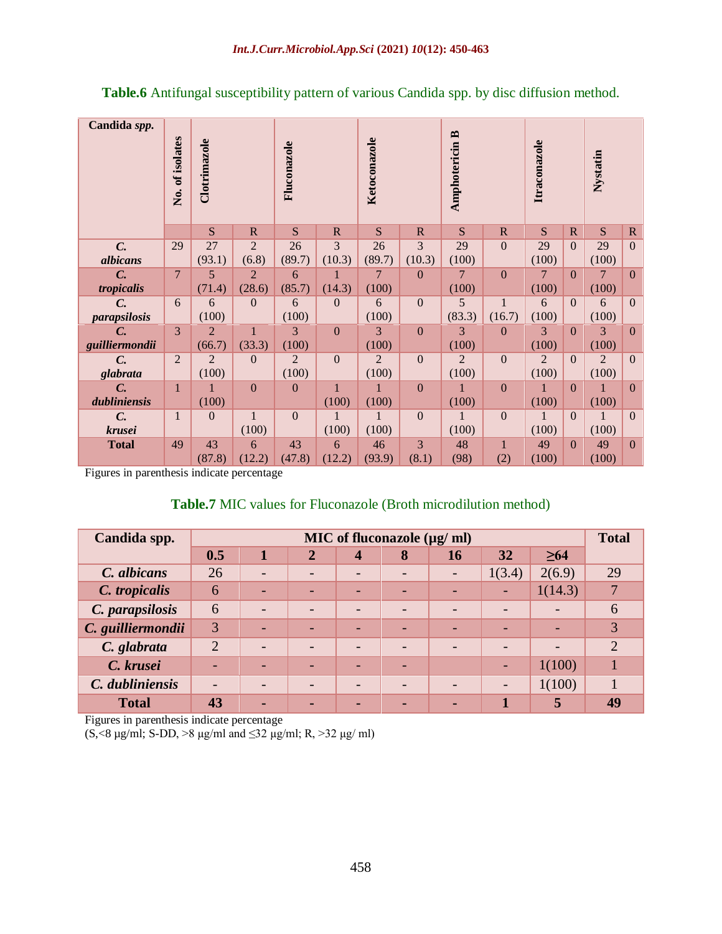| Candida spp.        | No. of isolates | Clotrimazole   |                | Fluconazole  |                | Ketoconazole   |                | <b>Amphotericin B</b> |              | Itraconazole |              | Nystatin       |                |
|---------------------|-----------------|----------------|----------------|--------------|----------------|----------------|----------------|-----------------------|--------------|--------------|--------------|----------------|----------------|
|                     |                 | S              | $\mathbb{R}$   | S            | $\mathbf R$    | S              | $\mathbf R$    | S                     | $\mathbb{R}$ | S            | $\mathbb{R}$ | S              | $\mathbb{R}$   |
| $C_{\cdot}$         | 29              | 27             | 2              | 26           | 3              | 26             | 3              | 29                    | $\mathbf{0}$ | 29           | $\Omega$     | 29             | $\Omega$       |
| albicans            |                 | (93.1)         | (6.8)          | (89.7)       | (10.3)         | (89.7)         | (10.3)         | (100)                 |              | (100)        |              | (100)          |                |
| $C_{\cdot}$         | $\overline{7}$  | 5              | $\overline{2}$ | 6            | 1              | 7              | $\overline{0}$ | 7                     | $\mathbf{0}$ | 7            | $\Omega$     | 7              | $\overline{0}$ |
| tropicalis          |                 | (71.4)         | (28.6)         | (85.7)       | (14.3)         | (100)          |                | (100)                 |              | (100)        |              | (100)          |                |
| $C_{\cdot}$         | 6               | 6              | $\mathbf{0}$   | 6            | $\overline{0}$ | 6              | $\mathbf{0}$   | 5                     | $\mathbf{1}$ | 6            | $\Omega$     | 6              | $\overline{0}$ |
| <i>parapsilosis</i> |                 | (100)          |                | (100)        |                | (100)          |                | (83.3)                | (16.7)       | (100)        |              | (100)          |                |
| $\mathcal{C}$ .     | 3               | $\overline{2}$ | $\mathbf{1}$   | 3            | $\mathbf{0}$   | 3              | $\mathbf{0}$   | 3                     | $\mathbf{0}$ | 3            | $\Omega$     | 3              | $\overline{0}$ |
| guilliermondii      |                 | (66.7)         | (33.3)         | (100)        |                | (100)          |                | (100)                 |              | (100)        |              | (100)          |                |
| $C_{\cdot}$         | 2               | $\overline{2}$ | $\mathbf{0}$   | 2            | $\overline{0}$ | $\overline{2}$ | $\Omega$       | $\overline{2}$        | $\mathbf{0}$ | 2            | $\Omega$     | $\overline{2}$ | $\overline{0}$ |
| glabrata            |                 | (100)          |                | (100)        |                | (100)          |                | (100)                 |              | (100)        |              | (100)          |                |
| $C_{\cdot}$         | 1               | 1              | $\Omega$       | $\mathbf{0}$ | $\mathbf{1}$   | $\mathbf{1}$   | $\mathbf{0}$   | 1                     | $\mathbf{0}$ | 1            | $\Omega$     | 1              | $\Omega$       |
| dubliniensis        |                 | (100)          |                |              | (100)          | (100)          |                | (100)                 |              | (100)        |              | (100)          |                |
| $C_{\cdot}$         | $\mathbf{1}$    | $\mathbf{0}$   | $\mathbf{1}$   | $\mathbf{0}$ | 1              | $\mathbf{1}$   | $\mathbf{0}$   | $\mathbf{1}$          | $\mathbf{0}$ | $\mathbf{1}$ | $\Omega$     | $\mathbf{1}$   | $\overline{0}$ |
| krusei              |                 |                | (100)          |              | (100)          | (100)          |                | (100)                 |              | (100)        |              | (100)          |                |
| <b>Total</b>        | 49              | 43             | 6              | 43           | 6              | 46             | 3              | 48                    | $\mathbf{1}$ | 49           | $\Omega$     | 49             | $\overline{0}$ |
|                     |                 | (87.8)         | (12.2)         | (47.8)       | (12.2)         | (93.9)         | (8.1)          | (98)                  | (2)          | (100)        |              | (100)          |                |

**Table.6** Antifungal susceptibility pattern of various Candida spp. by disc diffusion method.

Figures in parenthesis indicate percentage

#### **Table.7** MIC values for Fluconazole (Broth microdilution method)

| Candida spp.      | MIC of fluconazole (µg/ ml) |                          |                |                          |                          |    |                          |           |                       |
|-------------------|-----------------------------|--------------------------|----------------|--------------------------|--------------------------|----|--------------------------|-----------|-----------------------|
|                   | 0.5                         |                          | $\overline{2}$ | 4                        | 8                        | 16 | 32                       | $\geq 64$ |                       |
| C. albicans       | 26                          |                          |                | $\overline{\phantom{0}}$ | $\overline{\phantom{0}}$ |    | 1(3.4)                   | 2(6.9)    | 29                    |
| C. tropicalis     | 6                           | -                        |                |                          |                          |    | $\overline{\phantom{0}}$ | 1(14.3)   | $\mathbf{r}$          |
| C. parapsilosis   | 6                           | $\overline{\phantom{0}}$ |                |                          | $\overline{\phantom{0}}$ |    | $\overline{\phantom{0}}$ |           | 6                     |
| C. guilliermondii | 3                           | -                        |                | -                        | -                        |    | -                        | -         | 3                     |
| C. glabrata       | $\overline{2}$              | $\overline{\phantom{0}}$ |                | $\overline{\phantom{0}}$ | $\overline{\phantom{0}}$ |    | $\qquad \qquad$          | -         | $\mathcal{D}_{\cdot}$ |
| C. krusei         |                             |                          |                |                          |                          |    | $\overline{\phantom{0}}$ | 1(100)    |                       |
| C. dubliniensis   |                             |                          |                |                          | $\overline{\phantom{0}}$ |    | $\overline{\phantom{0}}$ | 1(100)    |                       |
| <b>Total</b>      | 43                          | -                        |                |                          |                          |    |                          | 5         | 49                    |

Figures in parenthesis indicate percentage

(S,  $\le$ 8 µg/ml; S-DD,  $>8$  µg/ml and  $\le$ 32 µg/ml; R,  $>$ 32 µg/ ml)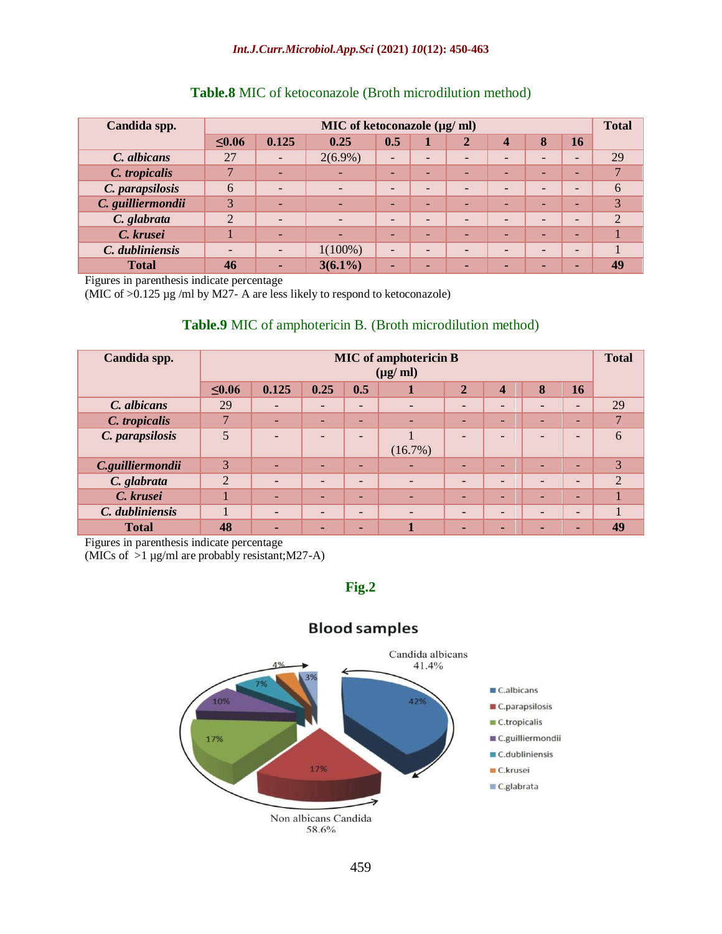| Candida spp.      |                | MIC of ketoconazole $(\mu g/\text{ml})$ |                          |                          |                          |                          |                          |                          |                          |                |  |  |
|-------------------|----------------|-----------------------------------------|--------------------------|--------------------------|--------------------------|--------------------------|--------------------------|--------------------------|--------------------------|----------------|--|--|
|                   | $\leq 0.06$    | 0.125                                   | 0.25                     | 0.5                      |                          | $\mathbf{2}$             | $\overline{\mathbf{4}}$  | 8                        | 16                       |                |  |  |
| C. albicans       | 27             | $\overline{\phantom{0}}$                | $2(6.9\%)$               | $\qquad \qquad$          | $\overline{\phantom{0}}$ | $\overline{\phantom{0}}$ | $\overline{\phantom{0}}$ | $\overline{\phantom{0}}$ | -                        | 29             |  |  |
| C. tropicalis     |                |                                         |                          | $\overline{\phantom{0}}$ | $\overline{\phantom{0}}$ | $\overline{\phantom{0}}$ | $\overline{\phantom{0}}$ | -                        | -                        |                |  |  |
| C. parapsilosis   | 6              |                                         | $\overline{\phantom{0}}$ | $\overline{\phantom{0}}$ | $\overline{\phantom{0}}$ | $\overline{\phantom{0}}$ | $\overline{\phantom{0}}$ | $\overline{\phantom{0}}$ | -                        | 6              |  |  |
| C. guilliermondii | 3              |                                         |                          | ۰                        | -                        | $\overline{\phantom{0}}$ | н.                       | -                        | -                        | 3              |  |  |
| C. glabrata       | $\overline{2}$ |                                         | $\overline{\phantom{0}}$ | ۰                        | $\overline{\phantom{0}}$ | $\overline{\phantom{0}}$ | $\overline{\phantom{0}}$ | $\overline{\phantom{0}}$ | $\overline{\phantom{0}}$ | $\mathfrak{D}$ |  |  |
| C. krusei         |                | $\overline{\phantom{0}}$                | $\overline{\phantom{a}}$ | $\overline{\phantom{0}}$ | $\overline{\phantom{0}}$ | $\overline{\phantom{0}}$ | $\overline{\phantom{0}}$ | -                        | -                        |                |  |  |
| C. dubliniensis   | -              |                                         | $1(100\%)$               | ۰                        | $\overline{\phantom{a}}$ | $\overline{\phantom{0}}$ | -                        | $\overline{\phantom{0}}$ | $\overline{\phantom{0}}$ |                |  |  |
| <b>Total</b>      | 46             | $\blacksquare$                          | $3(6.1\%)$               | $\blacksquare$           |                          | н.                       | $\blacksquare$           | -                        |                          | 49             |  |  |

#### **Table.8** MIC of ketoconazole (Broth microdilution method)

Figures in parenthesis indicate percentage

(MIC of  $>0.125$  µg /ml by M27- A are less likely to respond to ketoconazole)

#### **Table.9** MIC of amphotericin B. (Broth microdilution method)

| Candida spp.     |                | <b>MIC</b> of amphotericin B<br>$(\mu g/\text{ml})$                                      |                          |                          |                              |                          |                          |                          |                              |                |  |  |
|------------------|----------------|------------------------------------------------------------------------------------------|--------------------------|--------------------------|------------------------------|--------------------------|--------------------------|--------------------------|------------------------------|----------------|--|--|
|                  | $\leq 0.06$    | 0.25<br>0.5<br>0.125<br>8<br>$\overline{2}$<br><b>16</b><br>1<br>$\overline{\mathbf{4}}$ |                          |                          |                              |                          |                          |                          |                              |                |  |  |
| C. albicans      | 29             | $\overline{\phantom{0}}$                                                                 | $\overline{\phantom{a}}$ | $\overline{\phantom{a}}$ | $\qquad \qquad \blacksquare$ | $\overline{\phantom{0}}$ | $\overline{\phantom{0}}$ | $\overline{\phantom{0}}$ | $\overline{\phantom{0}}$     | 29             |  |  |
| C. tropicalis    | 7              | ٠                                                                                        | $\overline{\phantom{0}}$ | $\overline{\phantom{0}}$ | ٠                            | $\overline{\phantom{0}}$ | $\overline{\phantom{0}}$ | ٠                        | ۰                            | $\overline{7}$ |  |  |
| C. parapsilosis  | 5              | $\overline{\phantom{0}}$                                                                 | $\overline{\phantom{0}}$ | $\overline{\phantom{0}}$ | $(16.7\%)$                   | $\overline{\phantom{0}}$ | -                        | ۰                        | $\overline{\phantom{0}}$     | 6              |  |  |
| C.guilliermondii | 3              | $\overline{\phantom{0}}$                                                                 | $\overline{\phantom{0}}$ | ٠                        |                              | -                        | ۰                        | $\overline{\phantom{0}}$ | ٠                            | 3              |  |  |
| C. glabrata      | $\overline{2}$ | $\overline{\phantom{a}}$                                                                 | $\overline{\phantom{a}}$ | $\overline{\phantom{0}}$ | $\qquad \qquad \blacksquare$ | $\overline{\phantom{0}}$ | $\overline{\phantom{0}}$ | $\overline{\phantom{0}}$ | $\overline{\phantom{0}}$     | $\overline{2}$ |  |  |
| C. krusei        |                | $\overline{\phantom{0}}$                                                                 | $\overline{\phantom{0}}$ | $\overline{\phantom{0}}$ | ٠                            | ٠                        | $\overline{\phantom{0}}$ | ٠                        | ۰                            |                |  |  |
| C. dubliniensis  |                | $\overline{\phantom{a}}$                                                                 | $\overline{\phantom{a}}$ | $\overline{\phantom{a}}$ | $\qquad \qquad \blacksquare$ | $\overline{\phantom{0}}$ | $\overline{\phantom{0}}$ | $\overline{\phantom{0}}$ | $\qquad \qquad \blacksquare$ |                |  |  |
| <b>Total</b>     | 48             | $\blacksquare$                                                                           | $\blacksquare$           | ٠                        |                              | $\blacksquare$           | -                        | $\blacksquare$           | ٠                            | 49             |  |  |

Figures in parenthesis indicate percentage

(MICs of  $>1$  µg/ml are probably resistant; M27-A)

**Fig.2**



## **Blood samples**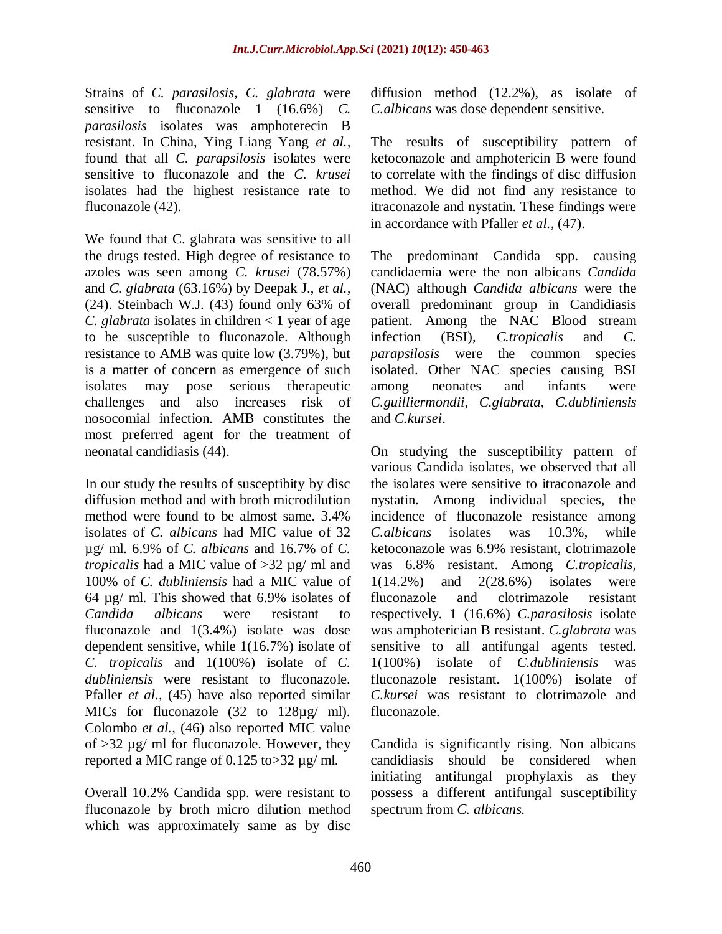Strains of *C. parasilosis, C. glabrata* were sensitive to fluconazole 1 (16.6%) *C. parasilosis* isolates was amphoterecin B resistant. In China, Ying Liang Yang *et al.,* found that all *C. parapsilosis* isolates were sensitive to fluconazole and the *C. krusei*  isolates had the highest resistance rate to fluconazole (42).

We found that C. glabrata was sensitive to all the drugs tested. High degree of resistance to azoles was seen among *C. krusei* (78.57%) and *C. glabrata* (63.16%) by Deepak J., *et al.,* (24). Steinbach W.J. (43) found only 63% of *C. glabrata* isolates in children < 1 year of age to be susceptible to fluconazole. Although resistance to AMB was quite low (3.79%), but is a matter of concern as emergence of such isolates may pose serious therapeutic challenges and also increases risk of nosocomial infection. AMB constitutes the most preferred agent for the treatment of neonatal candidiasis (44).

In our study the results of susceptibity by disc diffusion method and with broth microdilution method were found to be almost same. 3.4% isolates of *C. albicans* had MIC value of 32 µg/ ml. 6.9% of *C. albicans* and 16.7% of *C. tropicalis* had a MIC value of >32 µg/ ml and 100% of *C. dubliniensis* had a MIC value of 64 µg/ ml. This showed that 6.9% isolates of *Candida albicans* were resistant to fluconazole and 1(3.4%) isolate was dose dependent sensitive, while 1(16.7%) isolate of *C. tropicalis* and 1(100%) isolate of *C. dubliniensis* were resistant to fluconazole. Pfaller *et al.,* (45) have also reported similar MICs for fluconazole (32 to 128µg/ ml). Colombo *et al.,* (46) also reported MIC value of >32 µg/ ml for fluconazole. However, they reported a MIC range of 0.125 to>32 µg/ ml.

Overall 10.2% Candida spp. were resistant to fluconazole by broth micro dilution method which was approximately same as by disc

diffusion method (12.2%), as isolate of *C.albicans* was dose dependent sensitive.

The results of susceptibility pattern of ketoconazole and amphotericin B were found to correlate with the findings of disc diffusion method. We did not find any resistance to itraconazole and nystatin. These findings were in accordance with Pfaller *et al.,* (47).

The predominant Candida spp. causing candidaemia were the non albicans *Candida*  (NAC) although *Candida albicans* were the overall predominant group in Candidiasis patient. Among the NAC Blood stream infection (BSI), *C.tropicalis* and *C. parapsilosis* were the common species isolated. Other NAC species causing BSI among neonates and infants were *C.guilliermondii*, *C.glabrata*, *C.dubliniensis* and *C.kursei*.

On studying the susceptibility pattern of various Candida isolates, we observed that all the isolates were sensitive to itraconazole and nystatin. Among individual species, the incidence of fluconazole resistance among *C.albicans* isolates was 10.3%, while ketoconazole was 6.9% resistant, clotrimazole was 6.8% resistant. Among *C.tropicalis*, 1(14.2%) and 2(28.6%) isolates were fluconazole and clotrimazole resistant respectively. 1 (16.6%) *C.parasilosis* isolate was amphoterician B resistant. *C.glabrata* was sensitive to all antifungal agents tested. 1(100%) isolate of *C.dubliniensis* was fluconazole resistant. 1(100%) isolate of *C.kursei* was resistant to clotrimazole and fluconazole.

Candida is significantly rising. Non albicans candidiasis should be considered when initiating antifungal prophylaxis as they possess a different antifungal susceptibility spectrum from *C. albicans.*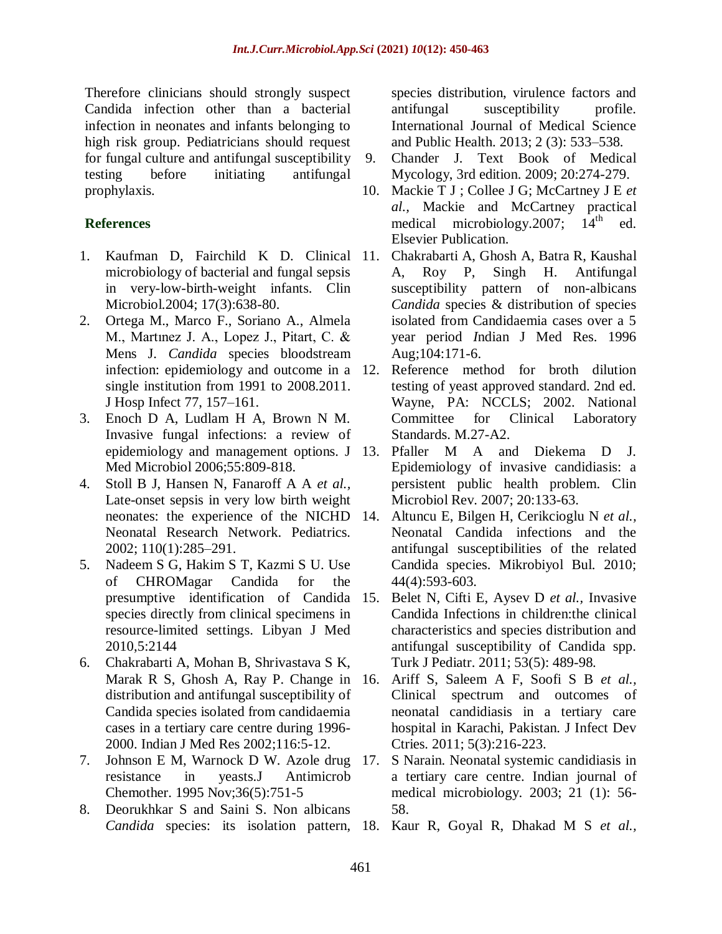Therefore clinicians should strongly suspect Candida infection other than a bacterial infection in neonates and infants belonging to high risk group. Pediatricians should request for fungal culture and antifungal susceptibility testing before initiating antifungal prophylaxis.

# **References**

- 1. Kaufman D, Fairchild K D. Clinical microbiology of bacterial and fungal sepsis in very-low-birth-weight infants. Clin Microbiol.2004; 17(3):638-80.
- 2. Ortega M., Marco F., Soriano A., Almela M., Martınez J. A., Lopez J., Pitart, C. & Mens J. *Candida* species bloodstream infection: epidemiology and outcome in a 12. single institution from 1991 to 2008.2011. J Hosp Infect 77, 157–161.
- 3. Enoch D A, Ludlam H A, Brown N M. Invasive fungal infections: a review of epidemiology and management options. J Med Microbiol 2006;55:809-818.
- 4. Stoll B J, Hansen N, Fanaroff A A *et al.,* Late-onset sepsis in very low birth weight neonates: the experience of the NICHD Neonatal Research Network. Pediatrics. 2002; 110(1):285–291.
- 5. Nadeem S G, Hakim S T, Kazmi S U. Use of CHROMagar Candida for the presumptive identification of Candida species directly from clinical specimens in resource-limited settings. Libyan J Med 2010,5:2144
- 6. Chakrabarti A, Mohan B, Shrivastava S K, Marak R S, Ghosh A, Ray P. Change in 16. distribution and antifungal susceptibility of Candida species isolated from candidaemia cases in a tertiary care centre during 1996- 2000. Indian J Med Res 2002;116:5-12.
- 7. Johnson E M, Warnock D W. [Azole drug](https://www.ncbi.nlm.nih.gov/pubmed/8626255)  [resistance in yeasts.J](https://www.ncbi.nlm.nih.gov/pubmed/8626255) Antimicrob Chemother. 1995 Nov;36(5):751-5
- 8. Deorukhkar S and Saini S. Non albicans

species distribution, virulence factors and antifungal susceptibility profile. International Journal of Medical Science and Public Health. 2013; 2 (3): 533–538.

- 9. Chander J. Text Book of Medical Mycology, 3rd edition. 2009; 20:274-279.
- 10. Mackie T J ; Collee J G; McCartney J E *et al.,* [Mackie and McCartney practical](http://www.worldcat.org/title/mackie-and-mccartney-practical-medical-microbiology/oclc/818850072?referer=di&ht=edition)  [medical microbiology.](http://www.worldcat.org/title/mackie-and-mccartney-practical-medical-microbiology/oclc/818850072?referer=di&ht=edition) 2007;  $14<sup>th</sup>$  ed. Elsevier Publication.
- 11. [Chakrabarti A,](http://www.ncbi.nlm.nih.gov/pubmed/?term=Chakrabarti%20A%5BAuthor%5D&cauthor=true&cauthor_uid=8840655) [Ghosh A,](http://www.ncbi.nlm.nih.gov/pubmed/?term=Ghosh%20A%5BAuthor%5D&cauthor=true&cauthor_uid=8840655) [Batra R,](http://www.ncbi.nlm.nih.gov/pubmed/?term=Batra%20R%5BAuthor%5D&cauthor=true&cauthor_uid=8840655) [Kaushal](http://www.ncbi.nlm.nih.gov/pubmed/?term=Kaushal%20A%5BAuthor%5D&cauthor=true&cauthor_uid=8840655)  [A,](http://www.ncbi.nlm.nih.gov/pubmed/?term=Kaushal%20A%5BAuthor%5D&cauthor=true&cauthor_uid=8840655) [Roy P,](http://www.ncbi.nlm.nih.gov/pubmed/?term=Roy%20P%5BAuthor%5D&cauthor=true&cauthor_uid=8840655) [Singh H.](http://www.ncbi.nlm.nih.gov/pubmed/?term=Singh%20H%5BAuthor%5D&cauthor=true&cauthor_uid=8840655) Antifungal susceptibility pattern of non-albicans *Candida* species & distribution of species isolated from Candidaemia cases over a 5 year period *I*ndian J Med Res. 1996 Aug;104:171-6.
- Reference method for broth dilution testing of yeast approved standard. 2nd ed. Wayne, PA: NCCLS; 2002. National Committee for Clinical Laboratory Standards. M.27-A2.
- 13. Pfaller M A and Diekema D J. Epidemiology of invasive candidiasis: a persistent public health problem. Clin Microbiol Rev. 2007; 20:133-63.
- 14. Altuncu E, Bilgen H, Cerikcioglu N *et al.,* Neonatal Candida infections and the antifungal susceptibilities of the related Candida species. Mikrobiyol Bul. 2010; 44(4):593-603.
- 15. Belet N, Cifti E, Aysev D *et al.,* Invasive Candida Infections in children:the clinical characteristics and species distribution and antifungal susceptibility of Candida spp. Turk J Pediatr. 2011; 53(5): 489-98.
- 16. Ariff S, Saleem A F, Soofi S B *et al.,* Clinical spectrum and outcomes of neonatal candidiasis in a tertiary care hospital in Karachi, Pakistan. J Infect Dev Ctries. 2011; 5(3):216-223.
- 17. S Narain. Neonatal systemic candidiasis in a tertiary care centre. Indian journal of medical microbiology. 2003; 21 (1): 56- 58.
- *Candida* species: its isolation pattern, 18. Kaur R, Goyal R, Dhakad M S *et al.,*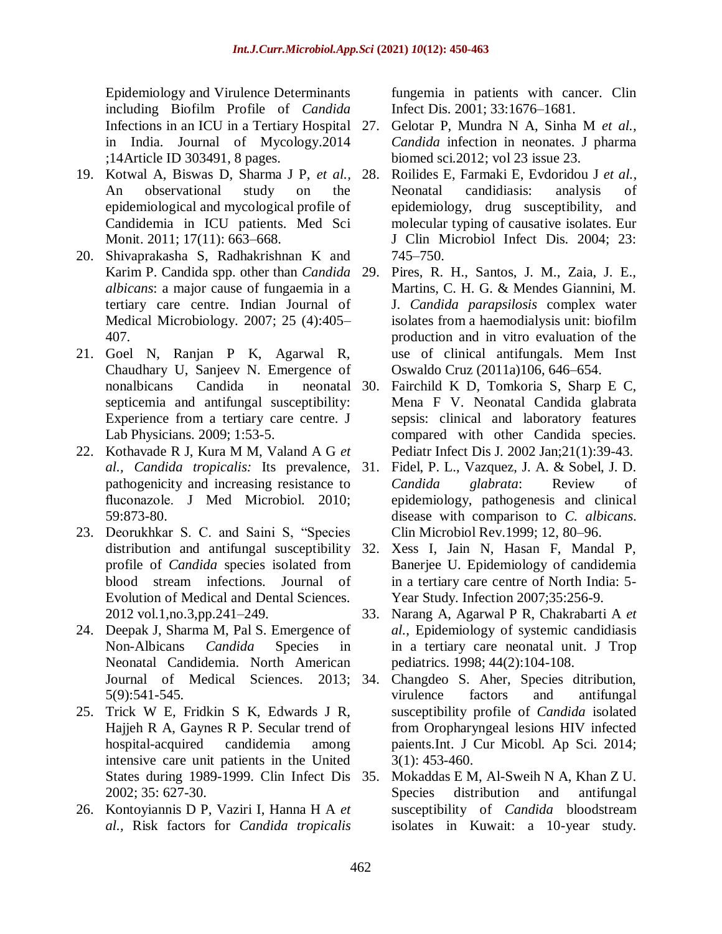Epidemiology and Virulence Determinants including Biofilm Profile of *Candida* Infections in an ICU in a Tertiary Hospital 27. in India. Journal of Mycology.2014 ;14Article ID 303491, 8 pages.

- 19. Kotwal A, Biswas D, Sharma J P, *et al.,* An observational study on the epidemiological and mycological profile of Candidemia in ICU patients. Med Sci Monit. 2011; 17(11): 663-668.
- 20. Shivaprakasha S, Radhakrishnan K and Karim P. Candida spp. other than *Candida albicans*: a major cause of fungaemia in a tertiary care centre. Indian Journal of Medical Microbiology. 2007; 25 (4):405– 407.
- 21. Goel N, Ranjan P K, Agarwal R, Chaudhary U, Sanjeev N. Emergence of nonalbicans Candida in neonatal septicemia and antifungal susceptibility: Experience from a tertiary care centre. J Lab Physicians. 2009; 1:53-5.
- 22. Kothavade R J, Kura M M, Valand A G *et al., Candida tropicalis:* Its prevalence, pathogenicity and increasing resistance to fluconazole. J Med Microbiol. 2010; 59:873-80.
- 23. Deorukhkar S. C. and Saini S, "Species distribution and antifungal susceptibility 32. profile of *Candida* species isolated from blood stream infections. Journal of Evolution of Medical and Dental Sciences. 2012 vol.1,no.3,pp.241–249.
- 24. Deepak J, Sharma M, Pal S. Emergence of Non-Albicans *Candida* Species in Neonatal Candidemia. North American Journal of Medical Sciences. 2013; 5(9):541-545.
- 25. Trick W E, Fridkin S K, Edwards J R, Hajjeh R A, Gaynes R P. Secular trend of hospital-acquired candidemia among intensive care unit patients in the United States during 1989-1999. Clin Infect Dis 35. 2002; 35: 627-30.
- 26. Kontoyiannis D P, Vaziri I, Hanna H A *et al.,* Risk factors for *Candida tropicalis*

fungemia in patients with cancer. Clin Infect Dis. 2001; 33:1676–1681.

- 27. Gelotar P, Mundra N A, Sinha M *et al., Candida* infection in neonates. J pharma biomed sci.2012; vol 23 issue 23.
- 28. Roilides E, Farmaki E, Evdoridou J *et al.,* Neonatal candidiasis: analysis of epidemiology, drug susceptibility, and molecular typing of causative isolates. Eur J Clin Microbiol Infect Dis. 2004; 23: 745–750.
- Pires, R. H., Santos, J. M., Zaia, J. E., Martins, C. H. G. & Mendes Giannini, M. J. *Candida parapsilosis* complex water isolates from a haemodialysis unit: biofilm production and in vitro evaluation of the use of clinical antifungals. Mem Inst Oswaldo Cruz (2011a)106, 646–654.
- [Fairchild K D,](https://www.ncbi.nlm.nih.gov/pubmed/?term=Fairchild%20KD%5BAuthor%5D&cauthor=true&cauthor_uid=11791097) [Tomkoria S,](https://www.ncbi.nlm.nih.gov/pubmed/?term=Tomkoria%20S%5BAuthor%5D&cauthor=true&cauthor_uid=11791097) [Sharp E C,](https://www.ncbi.nlm.nih.gov/pubmed/?term=Sharp%20EC%5BAuthor%5D&cauthor=true&cauthor_uid=11791097) [Mena F V.](https://www.ncbi.nlm.nih.gov/pubmed/?term=Mena%20FV%5BAuthor%5D&cauthor=true&cauthor_uid=11791097) Neonatal Candida glabrata sepsis: clinical and laboratory features compared with other Candida species. [Pediatr Infect Dis J.](https://www.ncbi.nlm.nih.gov/pubmed/11791097) 2002 Jan;21(1):39-43.
- 31. Fidel, P. L., Vazquez, J. A. & Sobel, J. D. *Candida glabrata*: Review of epidemiology, pathogenesis and clinical disease with comparison to *C. albicans*. Clin Microbiol Rev.1999; 12, 80–96.
- Xess I, Jain N, Hasan F, Mandal P, Banerjee U. Epidemiology of candidemia in a tertiary care centre of North India: 5- Year Study. Infection 2007;35:256-9.
- 33. Narang A, Agarwal P R, Chakrabarti A *et al.,* Epidemiology of systemic candidiasis in a tertiary care neonatal unit. J Trop pediatrics. 1998; 44(2):104-108.
- 34. Changdeo S. Aher, Species ditribution, virulence factors and antifungal susceptibility profile of *Candida* isolated from Oropharyngeal lesions HIV infected paients.Int. J Cur Micobl. Ap Sci. 2014; 3(1): 453-460.
- 35. Mokaddas E M, Al-Sweih N A, Khan Z U. Species distribution and antifungal susceptibility of *Candida* bloodstream isolates in Kuwait: a 10-year study.